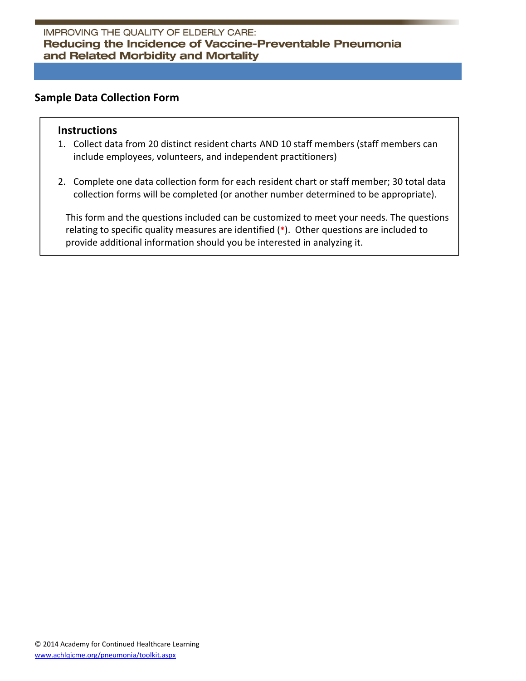# **Sample Data Collection Form**

### **Instructions**

- 1. Collect data from 20 distinct resident charts AND 10 staff members (staff members can include employees, volunteers, and independent practitioners)
- 2. Complete one data collection form for each resident chart or staff member; 30 total data collection forms will be completed (or another number determined to be appropriate).

This form and the questions included can be customized to meet your needs. The questions relating to specific quality measures are identified (**\***). Other questions are included to provide additional information should you be interested in analyzing it.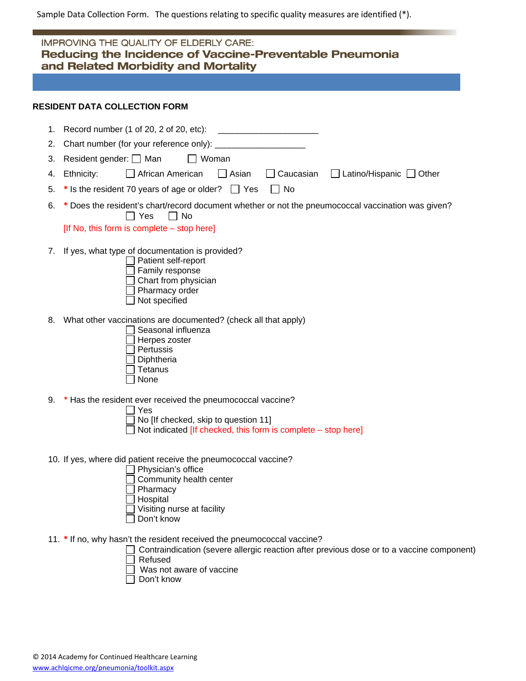Sample Data Collection Form. The questions relating to specific quality measures are identified (\*).

| <b>IMPROVING THE QUALITY OF ELDERLY CARE:</b><br>Reducing the Incidence of Vaccine-Preventable Pneumonia<br>and Related Morbidity and Mortality |                                                                                                                                                                                      |  |  |  |  |
|-------------------------------------------------------------------------------------------------------------------------------------------------|--------------------------------------------------------------------------------------------------------------------------------------------------------------------------------------|--|--|--|--|
|                                                                                                                                                 |                                                                                                                                                                                      |  |  |  |  |
|                                                                                                                                                 | <b>RESIDENT DATA COLLECTION FORM</b>                                                                                                                                                 |  |  |  |  |
|                                                                                                                                                 | 1. Record number (1 of 20, 2 of 20, etc):<br><u> 1980 - John Stein, Amerikaansk politiker (</u>                                                                                      |  |  |  |  |
| 2.                                                                                                                                              |                                                                                                                                                                                      |  |  |  |  |
| 3.                                                                                                                                              | Resident gender: □ Man<br>Woman                                                                                                                                                      |  |  |  |  |
| 4.                                                                                                                                              | African American<br>$\Box$ Asian<br>$\Box$ Caucasian<br>$\Box$ Latino/Hispanic $\Box$ Other<br>Ethnicity:                                                                            |  |  |  |  |
| 5.                                                                                                                                              | * Is the resident 70 years of age or older? $\Box$ Yes<br>$\Box$ No                                                                                                                  |  |  |  |  |
| 6.                                                                                                                                              | * Does the resident's chart/record document whether or not the pneumococcal vaccination was given?<br>T Yes<br>$\Box$ No                                                             |  |  |  |  |
|                                                                                                                                                 | [If No, this form is complete – stop here]                                                                                                                                           |  |  |  |  |
| 7.                                                                                                                                              | If yes, what type of documentation is provided?<br>Patient self-report<br>Family response<br>Chart from physician<br>Pharmacy order<br>Not specified                                 |  |  |  |  |
| 8.                                                                                                                                              | What other vaccinations are documented? (check all that apply)<br>Seasonal influenza<br>Herpes zoster<br>Pertussis<br>Diphtheria<br>Tetanus<br>None                                  |  |  |  |  |
| 9.                                                                                                                                              | * Has the resident ever received the pneumococcal vaccine?                                                                                                                           |  |  |  |  |
|                                                                                                                                                 | Yes                                                                                                                                                                                  |  |  |  |  |
|                                                                                                                                                 | $\Box$ No [If checked, skip to question 11]<br>Not indicated [If checked, this form is complete - stop here]                                                                         |  |  |  |  |
|                                                                                                                                                 | 10. If yes, where did patient receive the pneumococcal vaccine?<br>Physician's office<br>Community health center<br>Pharmacy<br>Hospital<br>Visiting nurse at facility<br>Don't know |  |  |  |  |
|                                                                                                                                                 | 11. * If no, why hasn't the resident received the pneumococcal vaccine?<br>Contraindication (severe allergic reaction after previous dose or to a vaccine component)                 |  |  |  |  |

- Refused
	- Was not aware of vaccine
- Don't know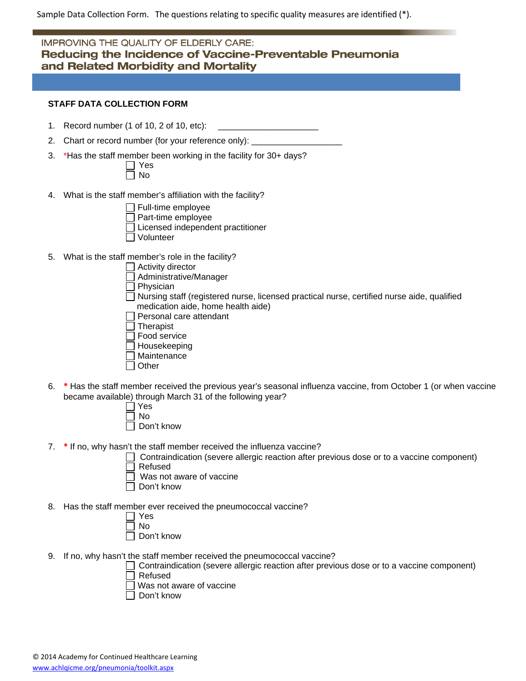Sample Data Collection Form. The questions relating to specific quality measures are identified (\*).

## **IMPROVING THE QUALITY OF ELDERLY CARE:** Reducing the Incidence of Vaccine-Preventable Pneumonia and Related Morbidity and Mortality

#### **STAFF DATA COLLECTION FORM**

- 1. Record number (1 of 10, 2 of 10, etc):
- 2. Chart or record number (for your reference only):
- 3. \*Has the staff member been working in the facility for 30+ days?

| ÷  |
|----|
| Γ. |

- 4. What is the staff member's affiliation with the facility?
	- Full-time employee
	- Part-time employee
	- Licensed independent practitioner
	- Volunteer
- 5. What is the staff member's role in the facility?
	- **Activity director**
	- Administrative/Manager
	- $\Box$  Physician
	- Nursing staff (registered nurse, licensed practical nurse, certified nurse aide, qualified medication aide, home health aide)
	- $\Box$  Personal care attendant
	- $\Box$  Therapist
	- Food service
	- $\Box$  Housekeeping
	- Maintenance
	- **Other**
- 6. **\*** Has the staff member received the previous year's seasonal influenza vaccine, from October 1 (or when vaccine became available) through March 31 of the following year?
	- Yes  $\Box$  No
	- □ Don't know
- 7. **\*** If no, why hasn't the staff member received the influenza vaccine?
	- Contraindication (severe allergic reaction after previous dose or to a vaccine component)
	- Refused
	- Was not aware of vaccine
	- □ Don't know
- 8. Has the staff member ever received the pneumococcal vaccine?

|  | n |
|--|---|

- Don't know
- 9. If no, why hasn't the staff member received the pneumococcal vaccine?
	- Contraindication (severe allergic reaction after previous dose or to a vaccine component) Refused
	- Was not aware of vaccine
	- Don't know